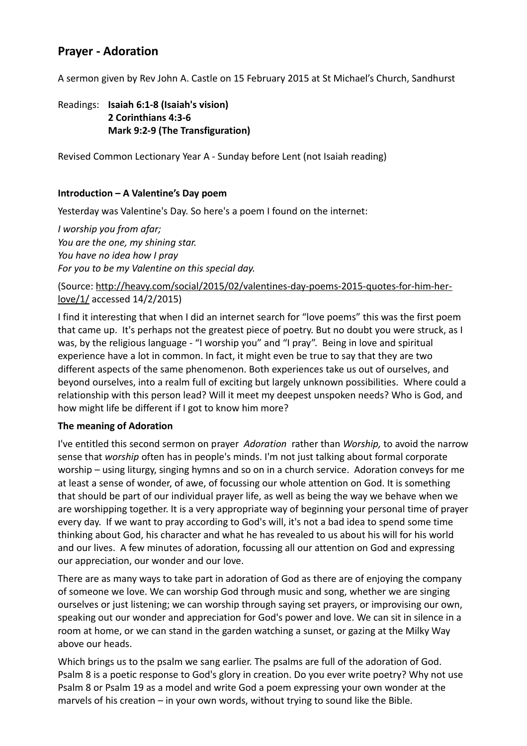# **Prayer - Adoration**

A sermon given by Rev John A. Castle on 15 February 2015 at St Michael's Church, Sandhurst

## Readings: **Isaiah 6:1-8 (Isaiah's vision) 2 Corinthians 4:3-6 Mark 9:2-9 (The Transfiguration)**

Revised Common Lectionary Year A - Sunday before Lent (not Isaiah reading)

### **Introduction – A Valentine's Day poem**

Yesterday was Valentine's Day. So here's a poem I found on the internet:

*I worship you from afar; You are the one, my shining star. You have no idea how I pray For you to be my Valentine on this special day.*

### (Source: [http://heavy.com/social/2015/02/valentines-day-poems-2015-quotes-for-him-her](http://heavy.com/social/2015/02/valentines-day-poems-2015-quotes-for-him-her-love/1/)[love/1/](http://heavy.com/social/2015/02/valentines-day-poems-2015-quotes-for-him-her-love/1/) accessed 14/2/2015)

I find it interesting that when I did an internet search for "love poems" this was the first poem that came up. It's perhaps not the greatest piece of poetry. But no doubt you were struck, as I was, by the religious language - "I worship you" and "I pray". Being in love and spiritual experience have a lot in common. In fact, it might even be true to say that they are two different aspects of the same phenomenon. Both experiences take us out of ourselves, and beyond ourselves, into a realm full of exciting but largely unknown possibilities. Where could a relationship with this person lead? Will it meet my deepest unspoken needs? Who is God, and how might life be different if I got to know him more?

#### **The meaning of Adoration**

I've entitled this second sermon on prayer *Adoration* rather than *Worship,* to avoid the narrow sense that *worship* often has in people's minds. I'm not just talking about formal corporate worship – using liturgy, singing hymns and so on in a church service. Adoration conveys for me at least a sense of wonder, of awe, of focussing our whole attention on God. It is something that should be part of our individual prayer life, as well as being the way we behave when we are worshipping together. It is a very appropriate way of beginning your personal time of prayer every day. If we want to pray according to God's will, it's not a bad idea to spend some time thinking about God, his character and what he has revealed to us about his will for his world and our lives. A few minutes of adoration, focussing all our attention on God and expressing our appreciation, our wonder and our love.

There are as many ways to take part in adoration of God as there are of enjoying the company of someone we love. We can worship God through music and song, whether we are singing ourselves or just listening; we can worship through saying set prayers, or improvising our own, speaking out our wonder and appreciation for God's power and love. We can sit in silence in a room at home, or we can stand in the garden watching a sunset, or gazing at the Milky Way above our heads.

Which brings us to the psalm we sang earlier. The psalms are full of the adoration of God. Psalm 8 is a poetic response to God's glory in creation. Do you ever write poetry? Why not use Psalm 8 or Psalm 19 as a model and write God a poem expressing your own wonder at the marvels of his creation – in your own words, without trying to sound like the Bible.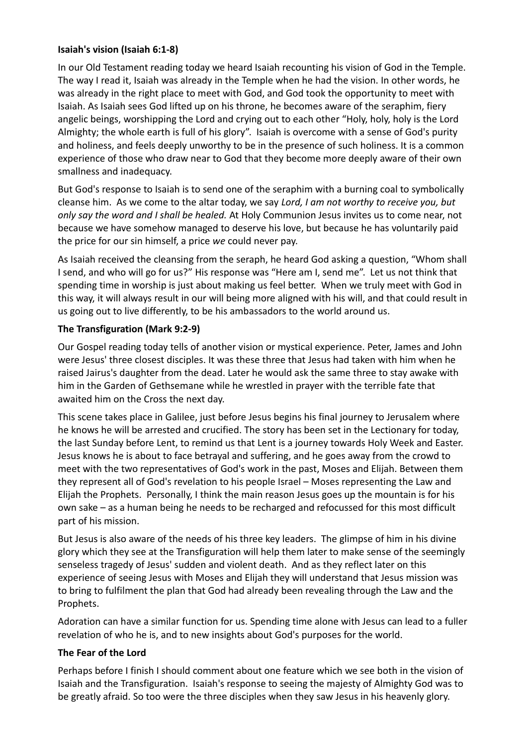## **Isaiah's vision (Isaiah 6:1-8)**

In our Old Testament reading today we heard Isaiah recounting his vision of God in the Temple. The way I read it, Isaiah was already in the Temple when he had the vision. In other words, he was already in the right place to meet with God, and God took the opportunity to meet with Isaiah. As Isaiah sees God lifted up on his throne, he becomes aware of the seraphim, fiery angelic beings, worshipping the Lord and crying out to each other "Holy, holy, holy is the Lord Almighty; the whole earth is full of his glory". Isaiah is overcome with a sense of God's purity and holiness, and feels deeply unworthy to be in the presence of such holiness. It is a common experience of those who draw near to God that they become more deeply aware of their own smallness and inadequacy.

But God's response to Isaiah is to send one of the seraphim with a burning coal to symbolically cleanse him. As we come to the altar today, we say *Lord, I am not worthy to receive you, but only say the word and I shall be healed.* At Holy Communion Jesus invites us to come near, not because we have somehow managed to deserve his love, but because he has voluntarily paid the price for our sin himself, a price *we* could never pay.

As Isaiah received the cleansing from the seraph, he heard God asking a question, "Whom shall I send, and who will go for us?" His response was "Here am I, send me". Let us not think that spending time in worship is just about making us feel better. When we truly meet with God in this way, it will always result in our will being more aligned with his will, and that could result in us going out to live differently, to be his ambassadors to the world around us.

# **The Transfiguration (Mark 9:2-9)**

Our Gospel reading today tells of another vision or mystical experience. Peter, James and John were Jesus' three closest disciples. It was these three that Jesus had taken with him when he raised Jairus's daughter from the dead. Later he would ask the same three to stay awake with him in the Garden of Gethsemane while he wrestled in prayer with the terrible fate that awaited him on the Cross the next day.

This scene takes place in Galilee, just before Jesus begins his final journey to Jerusalem where he knows he will be arrested and crucified. The story has been set in the Lectionary for today, the last Sunday before Lent, to remind us that Lent is a journey towards Holy Week and Easter. Jesus knows he is about to face betrayal and suffering, and he goes away from the crowd to meet with the two representatives of God's work in the past, Moses and Elijah. Between them they represent all of God's revelation to his people Israel – Moses representing the Law and Elijah the Prophets. Personally, I think the main reason Jesus goes up the mountain is for his own sake – as a human being he needs to be recharged and refocussed for this most difficult part of his mission.

But Jesus is also aware of the needs of his three key leaders. The glimpse of him in his divine glory which they see at the Transfiguration will help them later to make sense of the seemingly senseless tragedy of Jesus' sudden and violent death. And as they reflect later on this experience of seeing Jesus with Moses and Elijah they will understand that Jesus mission was to bring to fulfilment the plan that God had already been revealing through the Law and the Prophets.

Adoration can have a similar function for us. Spending time alone with Jesus can lead to a fuller revelation of who he is, and to new insights about God's purposes for the world.

# **The Fear of the Lord**

Perhaps before I finish I should comment about one feature which we see both in the vision of Isaiah and the Transfiguration. Isaiah's response to seeing the majesty of Almighty God was to be greatly afraid. So too were the three disciples when they saw Jesus in his heavenly glory.